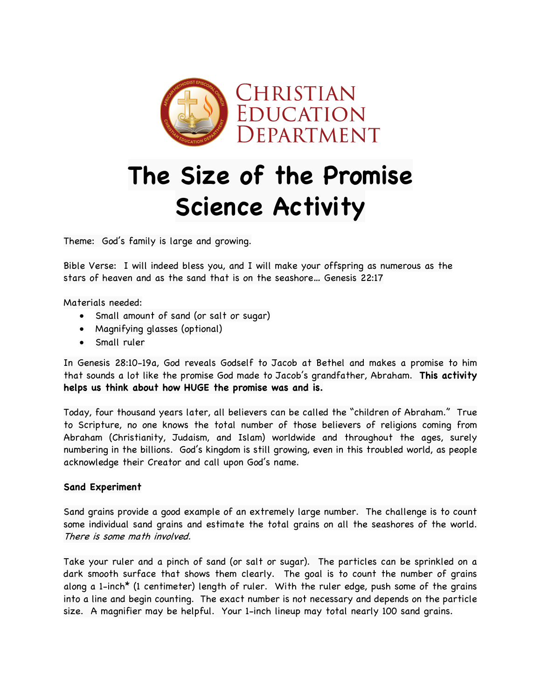

## **The Size of the Promise Science Activity**

Theme: God's family is large and growing.

Bible Verse: I will indeed bless you, and I will make your offspring as numerous as the stars of heaven and as the sand that is on the seashore… Genesis 22:17

Materials needed:

- Small amount of sand (or salt or sugar)
- Magnifying glasses (optional)
- Small ruler

In Genesis 28:10-19a, God reveals Godself to Jacob at Bethel and makes a promise to him that sounds a lot like the promise God made to Jacob's grandfather, Abraham. **This activity helps us think about how HUGE the promise was and is.**

Today, four thousand years later, all believers can be called the "children of Abraham." True to Scripture, no one knows the total number of those believers of religions coming from Abraham (Christianity, Judaism, and Islam) worldwide and throughout the ages, surely numbering in the billions. God's kingdom is still growing, even in this troubled world, as people acknowledge their Creator and call upon God's name.

## **Sand Experiment**

Sand grains provide a good example of an extremely large number. The challenge is to count some individual sand grains and estimate the total grains on all the seashores of the world. There is some math involved.

Take your ruler and a pinch of sand (or salt or sugar). The particles can be sprinkled on a dark smooth surface that shows them clearly. The goal is to count the number of grains along a 1-inch\* (1 centimeter) length of ruler. With the ruler edge, push some of the grains into a line and begin counting. The exact number is not necessary and depends on the particle size. A magnifier may be helpful. Your 1-inch lineup may total nearly 100 sand grains.